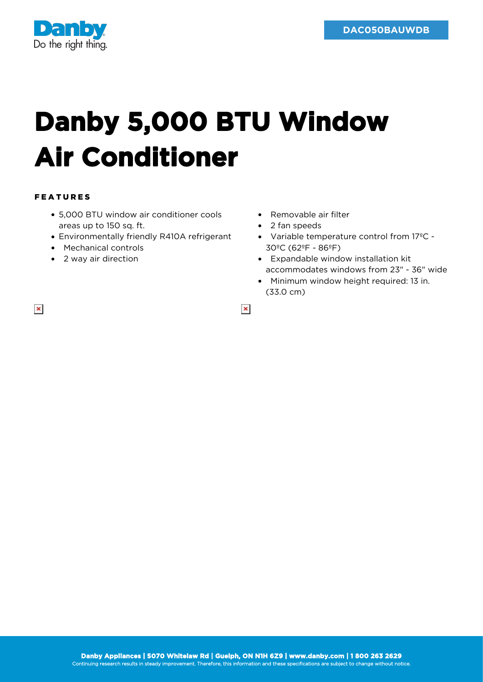

## **Danby 5,000 BTU Window Air Conditioner**

## FEATURES

 $\pmb{\times}$ 

- 5,000 BTU window air conditioner cools areas up to 150 sq. ft.
- Environmentally friendly R410A refrigerant
- Mechanical controls
- 2 way air direction
- Removable air filter
- 2 fan speeds
- Variable temperature control from 17ºC 30ºC (62ºF - 86ºF)
- Expandable window installation kit accommodates windows from 23" - 36" wide
- Minimum window height required: 13 in. (33.0 cm)

 $\pmb{\times}$